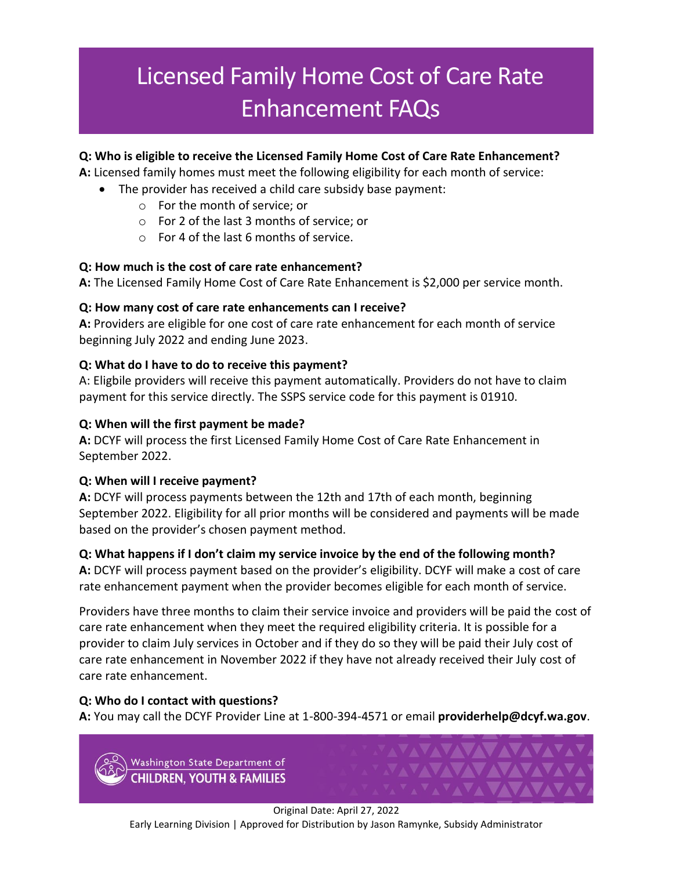# Licensed Family Home Cost of Care Rate Enhancement FAQs

## **Q: Who is eligible to receive the Licensed Family Home Cost of Care Rate Enhancement?**

**A:** Licensed family homes must meet the following eligibility for each month of service:

- The provider has received a child care subsidy base payment:
	- o For the month of service; or
	- o For 2 of the last 3 months of service; or
	- o For 4 of the last 6 months of service.

#### **Q: How much is the cost of care rate enhancement?**

**A:** The Licensed Family Home Cost of Care Rate Enhancement is \$2,000 per service month.

#### **Q: How many cost of care rate enhancements can I receive?**

**A:** Providers are eligible for one cost of care rate enhancement for each month of service beginning July 2022 and ending June 2023.

#### **Q: What do I have to do to receive this payment?**

A: Eligbile providers will receive this payment automatically. Providers do not have to claim payment for this service directly. The SSPS service code for this payment is 01910.

#### **Q: When will the first payment be made?**

**A:** DCYF will process the first Licensed Family Home Cost of Care Rate Enhancement in September 2022.

## **Q: When will I receive payment?**

**A:** DCYF will process payments between the 12th and 17th of each month, beginning September 2022. Eligibility for all prior months will be considered and payments will be made based on the provider's chosen payment method.

## **Q: What happens if I don't claim my service invoice by the end of the following month?**

**A:** DCYF will process payment based on the provider's eligibility. DCYF will make a cost of care rate enhancement payment when the provider becomes eligible for each month of service.

Providers have three months to claim their service invoice and providers will be paid the cost of care rate enhancement when they meet the required eligibility criteria. It is possible for a provider to claim July services in October and if they do so they will be paid their July cost of care rate enhancement in November 2022 if they have not already received their July cost of care rate enhancement.

## **Q: Who do I contact with questions?**

**A:** You may call the DCYF Provider Line at 1-800-394-4571 or email **[providerhelp@dcyf.wa.gov](mailto:providerhelp@dcyf.wa.gov)**.

Washington State Department of **CHILDREN, YOUTH & FAMILIES**